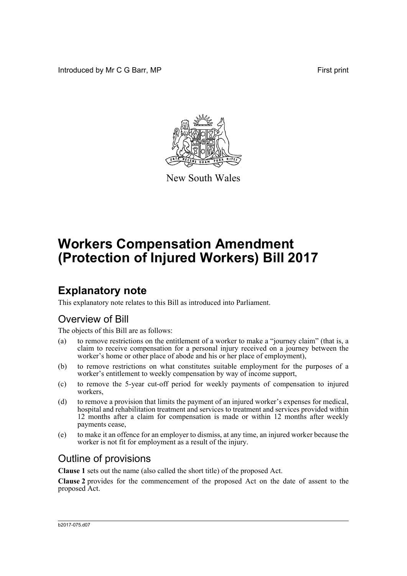Introduced by Mr C G Barr, MP **First** print



New South Wales

# **Workers Compensation Amendment (Protection of Injured Workers) Bill 2017**

## **Explanatory note**

This explanatory note relates to this Bill as introduced into Parliament.

#### Overview of Bill

The objects of this Bill are as follows:

- (a) to remove restrictions on the entitlement of a worker to make a "journey claim" (that is, a claim to receive compensation for a personal injury received on a journey between the worker's home or other place of abode and his or her place of employment),
- (b) to remove restrictions on what constitutes suitable employment for the purposes of a worker's entitlement to weekly compensation by way of income support,
- (c) to remove the 5-year cut-off period for weekly payments of compensation to injured workers,
- (d) to remove a provision that limits the payment of an injured worker's expenses for medical, hospital and rehabilitation treatment and services to treatment and services provided within 12 months after a claim for compensation is made or within 12 months after weekly payments cease,
- (e) to make it an offence for an employer to dismiss, at any time, an injured worker because the worker is not fit for employment as a result of the injury.

#### Outline of provisions

**Clause 1** sets out the name (also called the short title) of the proposed Act.

**Clause 2** provides for the commencement of the proposed Act on the date of assent to the proposed Act.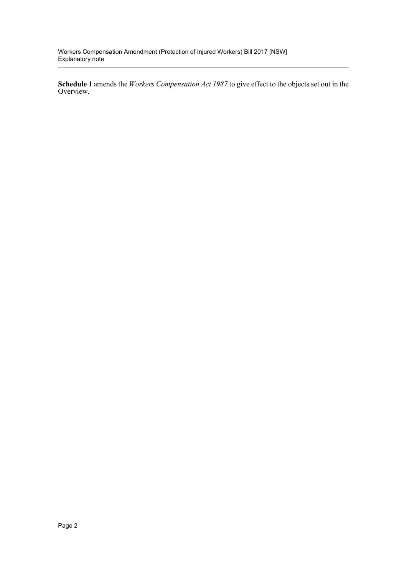Workers Compensation Amendment (Protection of Injured Workers) Bill 2017 [NSW] Explanatory note

**Schedule 1** amends the *Workers Compensation Act 1987* to give effect to the objects set out in the Overview.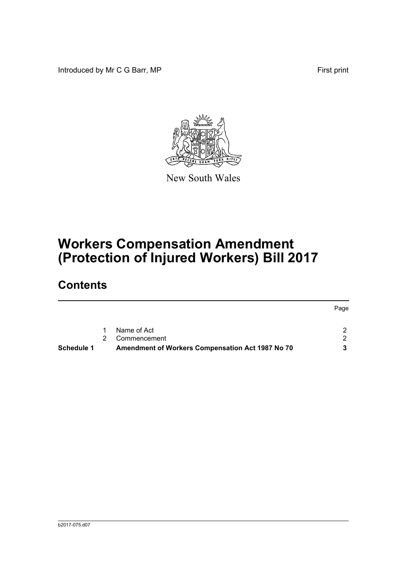Introduced by Mr C G Barr, MP **First** print



New South Wales

# **Workers Compensation Amendment (Protection of Injured Workers) Bill 2017**

## **Contents**

| Name of Act<br>1<br>Commencement | -2.<br>2 |
|----------------------------------|----------|
|                                  |          |
|                                  |          |
|                                  | Page     |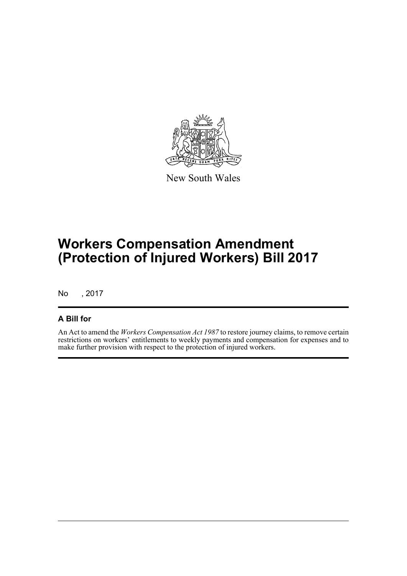

New South Wales

## **Workers Compensation Amendment (Protection of Injured Workers) Bill 2017**

No , 2017

#### **A Bill for**

An Act to amend the *Workers Compensation Act 1987* to restore journey claims, to remove certain restrictions on workers' entitlements to weekly payments and compensation for expenses and to make further provision with respect to the protection of injured workers.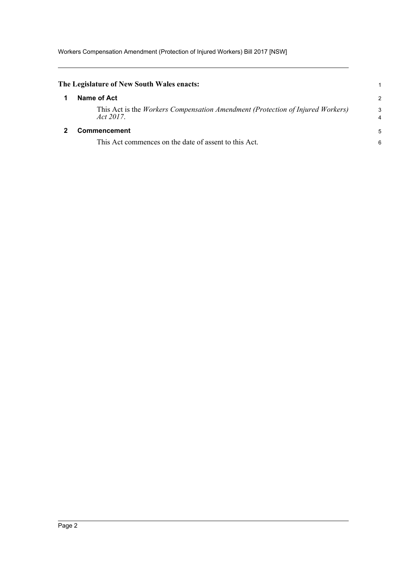<span id="page-4-1"></span><span id="page-4-0"></span>

| The Legislature of New South Wales enacts:                                                  |                     |
|---------------------------------------------------------------------------------------------|---------------------|
| Name of Act                                                                                 | $\overline{2}$      |
| This Act is the Workers Compensation Amendment (Protection of Injured Workers)<br>Act 2017. | 3<br>$\overline{4}$ |
| Commencement                                                                                | 5                   |
| This Act commences on the date of assent to this Act.                                       | 6                   |
|                                                                                             |                     |